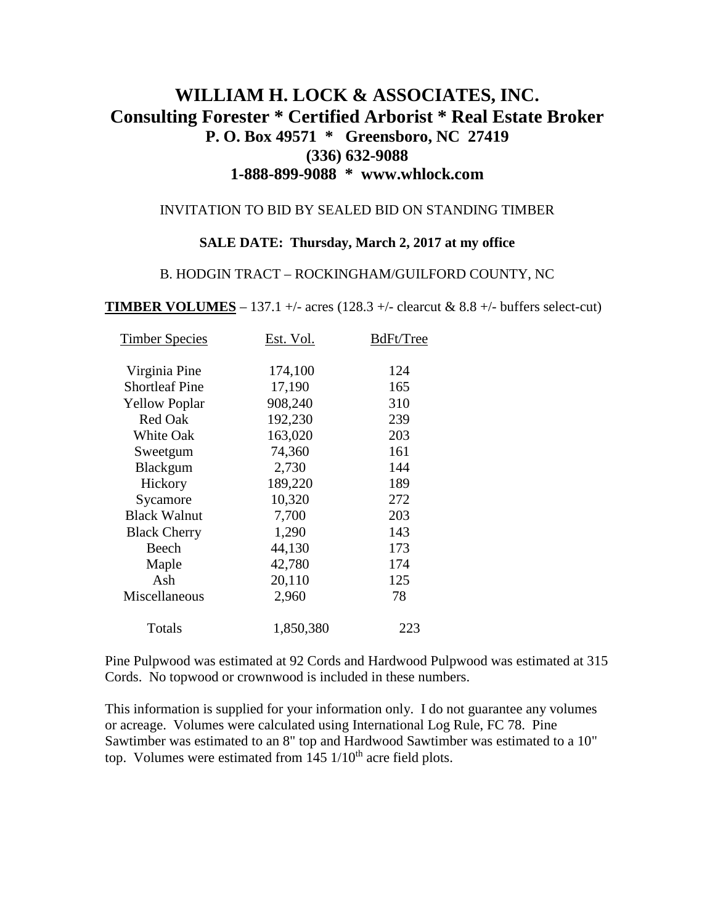# **WILLIAM H. LOCK & ASSOCIATES, INC. Consulting Forester \* Certified Arborist \* Real Estate Broker P. O. Box 49571 \* Greensboro, NC 27419 (336) 632-9088 1-888-899-9088 \* www.whlock.com**

#### INVITATION TO BID BY SEALED BID ON STANDING TIMBER

### **SALE DATE: Thursday, March 2, 2017 at my office**

#### B. HODGIN TRACT – ROCKINGHAM/GUILFORD COUNTY, NC

**TIMBER VOLUMES** – 137.1 +/- acres (128.3 +/- clearcut & 8.8 +/- buffers select-cut)

| Virginia Pine<br>174,100<br>124<br><b>Shortleaf Pine</b><br>17,190<br>165<br>908,240<br>310<br><b>Yellow Poplar</b><br><b>Red Oak</b><br>239<br>192,230<br>203<br><b>White Oak</b><br>163,020<br>161<br>74,360<br>Sweetgum<br>2,730<br>144<br>Blackgum<br>189<br>189,220<br>Hickory<br>10,320<br>272<br>Sycamore<br>203<br><b>Black Walnut</b><br>7,700<br>1,290<br>143<br><b>Black Cherry</b><br>Beech<br>173<br>44,130<br>42,780<br>174<br>Maple<br>Ash<br>20,110<br>125<br>Miscellaneous<br>78<br>2,960 | <b>Timber Species</b> | Est. Vol. | BdFt/Tree |
|------------------------------------------------------------------------------------------------------------------------------------------------------------------------------------------------------------------------------------------------------------------------------------------------------------------------------------------------------------------------------------------------------------------------------------------------------------------------------------------------------------|-----------------------|-----------|-----------|
|                                                                                                                                                                                                                                                                                                                                                                                                                                                                                                            |                       |           |           |
|                                                                                                                                                                                                                                                                                                                                                                                                                                                                                                            |                       |           |           |
|                                                                                                                                                                                                                                                                                                                                                                                                                                                                                                            |                       |           |           |
|                                                                                                                                                                                                                                                                                                                                                                                                                                                                                                            |                       |           |           |
|                                                                                                                                                                                                                                                                                                                                                                                                                                                                                                            |                       |           |           |
|                                                                                                                                                                                                                                                                                                                                                                                                                                                                                                            |                       |           |           |
|                                                                                                                                                                                                                                                                                                                                                                                                                                                                                                            |                       |           |           |
|                                                                                                                                                                                                                                                                                                                                                                                                                                                                                                            |                       |           |           |
|                                                                                                                                                                                                                                                                                                                                                                                                                                                                                                            |                       |           |           |
|                                                                                                                                                                                                                                                                                                                                                                                                                                                                                                            |                       |           |           |
|                                                                                                                                                                                                                                                                                                                                                                                                                                                                                                            |                       |           |           |
|                                                                                                                                                                                                                                                                                                                                                                                                                                                                                                            |                       |           |           |
|                                                                                                                                                                                                                                                                                                                                                                                                                                                                                                            |                       |           |           |
|                                                                                                                                                                                                                                                                                                                                                                                                                                                                                                            |                       |           |           |
|                                                                                                                                                                                                                                                                                                                                                                                                                                                                                                            |                       |           |           |
|                                                                                                                                                                                                                                                                                                                                                                                                                                                                                                            | Totals                | 1,850,380 | 223       |

Pine Pulpwood was estimated at 92 Cords and Hardwood Pulpwood was estimated at 315 Cords. No topwood or crownwood is included in these numbers.

This information is supplied for your information only. I do not guarantee any volumes or acreage. Volumes were calculated using International Log Rule, FC 78. Pine Sawtimber was estimated to an 8" top and Hardwood Sawtimber was estimated to a 10" top. Volumes were estimated from  $145 \frac{1}{10}$ <sup>th</sup> acre field plots.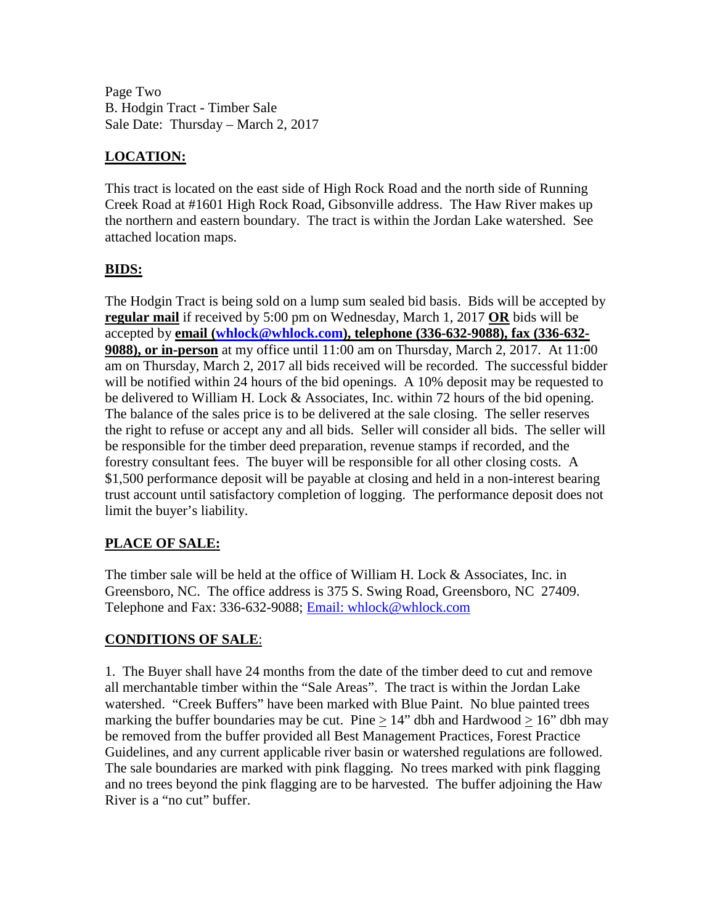Page Two B. Hodgin Tract - Timber Sale Sale Date: Thursday – March 2, 2017

# **LOCATION:**

This tract is located on the east side of High Rock Road and the north side of Running Creek Road at #1601 High Rock Road, Gibsonville address. The Haw River makes up the northern and eastern boundary. The tract is within the Jordan Lake watershed. See attached location maps.

### **BIDS:**

The Hodgin Tract is being sold on a lump sum sealed bid basis. Bids will be accepted by **regular mail** if received by 5:00 pm on Wednesday, March 1, 2017 **OR** bids will be accepted by **email [\(whlock@whlock.com\)](mailto:whlock@whlock.com), telephone (336-632-9088), fax (336-632- 9088), or in-person** at my office until 11:00 am on Thursday, March 2, 2017. At 11:00 am on Thursday, March 2, 2017 all bids received will be recorded. The successful bidder will be notified within 24 hours of the bid openings. A 10% deposit may be requested to be delivered to William H. Lock & Associates, Inc. within 72 hours of the bid opening. The balance of the sales price is to be delivered at the sale closing. The seller reserves the right to refuse or accept any and all bids. Seller will consider all bids. The seller will be responsible for the timber deed preparation, revenue stamps if recorded, and the forestry consultant fees. The buyer will be responsible for all other closing costs. A \$1,500 performance deposit will be payable at closing and held in a non-interest bearing trust account until satisfactory completion of logging. The performance deposit does not limit the buyer's liability.

## **PLACE OF SALE:**

The timber sale will be held at the office of William H. Lock & Associates, Inc. in Greensboro, NC. The office address is 375 S. Swing Road, Greensboro, NC 27409. Telephone and Fax: 336-632-9088; [Email: whlock@whlock.com](mailto:Email:%20whlock@whlock.com) 

### **CONDITIONS OF SALE**:

1. The Buyer shall have 24 months from the date of the timber deed to cut and remove all merchantable timber within the "Sale Areas". The tract is within the Jordan Lake watershed. "Creek Buffers" have been marked with Blue Paint. No blue painted trees marking the buffer boundaries may be cut. Pine  $\geq 14$ " dbh and Hardwood  $\geq 16$ " dbh may be removed from the buffer provided all Best Management Practices, Forest Practice Guidelines, and any current applicable river basin or watershed regulations are followed. The sale boundaries are marked with pink flagging. No trees marked with pink flagging and no trees beyond the pink flagging are to be harvested. The buffer adjoining the Haw River is a "no cut" buffer.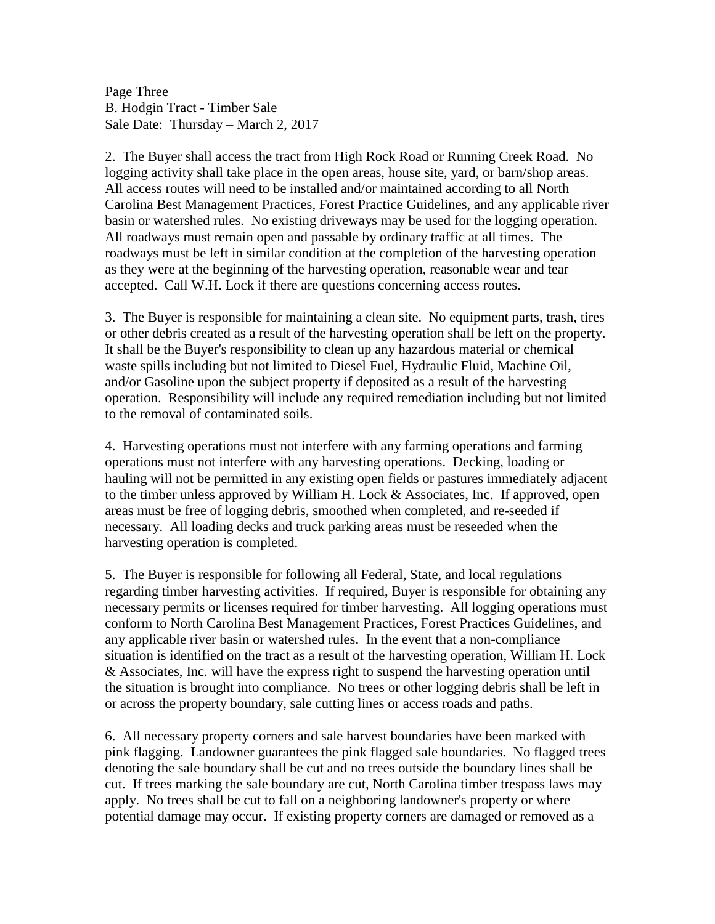Page Three B. Hodgin Tract - Timber Sale Sale Date: Thursday – March 2, 2017

2. The Buyer shall access the tract from High Rock Road or Running Creek Road. No logging activity shall take place in the open areas, house site, yard, or barn/shop areas. All access routes will need to be installed and/or maintained according to all North Carolina Best Management Practices, Forest Practice Guidelines, and any applicable river basin or watershed rules. No existing driveways may be used for the logging operation. All roadways must remain open and passable by ordinary traffic at all times. The roadways must be left in similar condition at the completion of the harvesting operation as they were at the beginning of the harvesting operation, reasonable wear and tear accepted. Call W.H. Lock if there are questions concerning access routes.

3. The Buyer is responsible for maintaining a clean site. No equipment parts, trash, tires or other debris created as a result of the harvesting operation shall be left on the property. It shall be the Buyer's responsibility to clean up any hazardous material or chemical waste spills including but not limited to Diesel Fuel, Hydraulic Fluid, Machine Oil, and/or Gasoline upon the subject property if deposited as a result of the harvesting operation. Responsibility will include any required remediation including but not limited to the removal of contaminated soils.

4. Harvesting operations must not interfere with any farming operations and farming operations must not interfere with any harvesting operations. Decking, loading or hauling will not be permitted in any existing open fields or pastures immediately adjacent to the timber unless approved by William H. Lock & Associates, Inc. If approved, open areas must be free of logging debris, smoothed when completed, and re-seeded if necessary. All loading decks and truck parking areas must be reseeded when the harvesting operation is completed.

5. The Buyer is responsible for following all Federal, State, and local regulations regarding timber harvesting activities. If required, Buyer is responsible for obtaining any necessary permits or licenses required for timber harvesting. All logging operations must conform to North Carolina Best Management Practices, Forest Practices Guidelines, and any applicable river basin or watershed rules. In the event that a non-compliance situation is identified on the tract as a result of the harvesting operation, William H. Lock & Associates, Inc. will have the express right to suspend the harvesting operation until the situation is brought into compliance. No trees or other logging debris shall be left in or across the property boundary, sale cutting lines or access roads and paths.

6. All necessary property corners and sale harvest boundaries have been marked with pink flagging. Landowner guarantees the pink flagged sale boundaries. No flagged trees denoting the sale boundary shall be cut and no trees outside the boundary lines shall be cut. If trees marking the sale boundary are cut, North Carolina timber trespass laws may apply. No trees shall be cut to fall on a neighboring landowner's property or where potential damage may occur. If existing property corners are damaged or removed as a